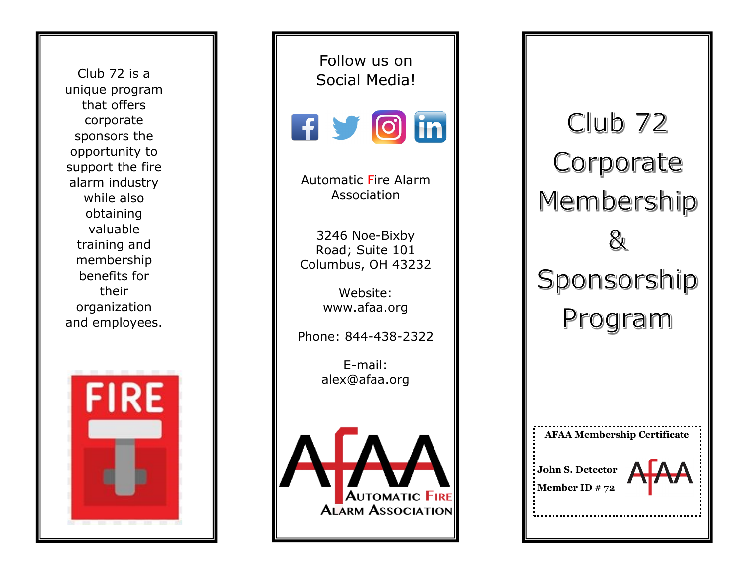Club 72 is a unique program that offers corporate sponsors the opportunity to support the fire alarm industry while also obtaining valuable training and membership benefits for their organization and employees.



Follow us on Social Media!



Automatic Fire Alarm Association

3246 Noe -Bixby Road; Suite 101 Columbus, OH 43232

> Website: www.afaa.org

Phone: 844 -438 -2322

E -mail: alex@afaa.org



 $Club$  72 Corporate Membership Sponsorship Program

**AFAA Membership Certificate**

**John S. Detector Member ID # 72**